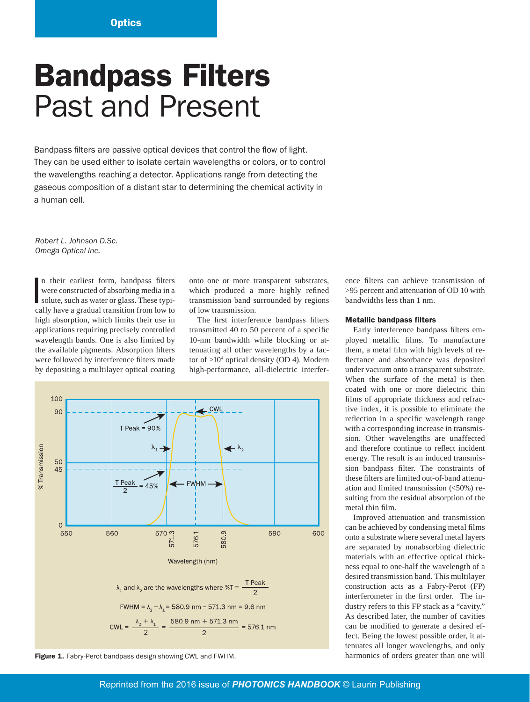# Bandpass Filters Past and Present

Bandpass filters are passive optical devices that control the flow of light. They can be used either to isolate certain wavelengths or colors, or to control the wavelengths reaching a detector. Applications range from detecting the gaseous composition of a distant star to determining the chemical activity in a human cell.

*Robert L. Johnson D.Sc. Omega Optical Inc.*

In their earliest form, bandpass filters<br>were constructed of absorbing media in a<br>solute, such as water or glass. These typically have a gradual transition from low to n their earliest form, bandpass filters were constructed of absorbing media in a solute, such as water or glass. These typihigh absorption, which limits their use in applications requiring precisely controlled wavelength bands. One is also limited by the available pigments. Absorption filters were followed by interference filters made by depositing a multilayer optical coating

onto one or more transparent substrates, which produced a more highly refined transmission band surrounded by regions of low transmission.

The first interference bandpass filters transmitted 40 to 50 percent of a specific 10-nm bandwidth while blocking or attenuating all other wavelengths by a factor of >104 optical density (OD 4). Modern high-performance, all-dielectric interfer-



Figure 1. Fabry-Perot bandpass design showing CWL and FWHM.

ence filters can achieve transmission of >95 percent and attenuation of OD 10 with bandwidths less than 1 nm.

#### Metallic bandpass filters

Early interference bandpass filters employed metallic films. To manufacture them, a metal film with high levels of reflectance and absorbance was deposited under vacuum onto a transparent substrate. When the surface of the metal is then coated with one or more dielectric thin films of appropriate thickness and refractive index, it is possible to eliminate the reflection in a specific wavelength range with a corresponding increase in transmission. Other wavelengths are unaffected and therefore continue to reflect incident energy. The result is an induced transmission bandpass filter. The constraints of these filters are limited out-of-band attenuation and limited transmission (<50%) resulting from the residual absorption of the metal thin film.

Improved attenuation and transmission can be achieved by condensing metal films onto a substrate where several metal layers are separated by nonabsorbing dielectric materials with an effective optical thickness equal to one-half the wavelength of a desired transmission band. This multilayer construction acts as a Fabry-Perot (FP) interferometer in the first order. The industry refers to this FP stack as a "cavity." As described later, the number of cavities can be modified to generate a desired effect. Being the lowest possible order, it attenuates all longer wavelengths, and only harmonics of orders greater than one will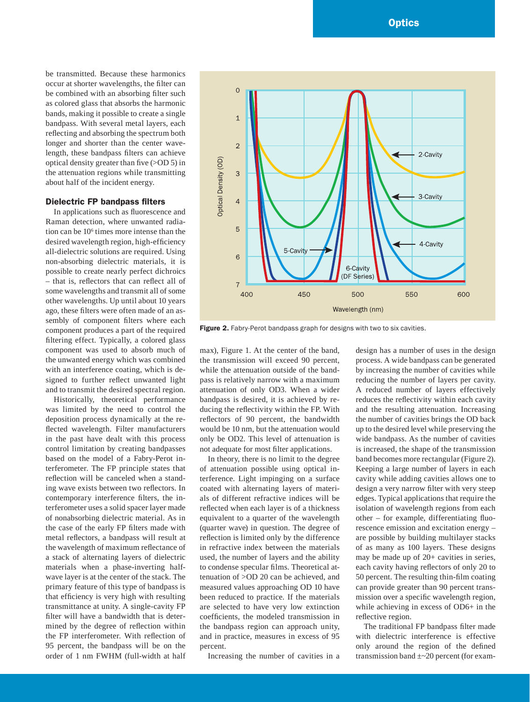be transmitted. Because these harmonics occur at shorter wavelengths, the filter can be combined with an absorbing filter such as colored glass that absorbs the harmonic bands, making it possible to create a single bandpass. With several metal layers, each reflecting and absorbing the spectrum both longer and shorter than the center wavelength, these bandpass filters can achieve optical density greater than five (>OD 5) in the attenuation regions while transmitting about half of the incident energy.

## Dielectric FP bandpass filters

In applications such as fluorescence and Raman detection, where unwanted radiation can be 10<sup>6</sup> times more intense than the desired wavelength region, high-efficiency all-dielectric solutions are required. Using non-absorbing dielectric materials, it is possible to create nearly perfect dichroics – that is, reflectors that can reflect all of some wavelengths and transmit all of some other wavelengths. Up until about 10 years ago, these filters were often made of an assembly of component filters where each component produces a part of the required filtering effect. Typically, a colored glass component was used to absorb much of the unwanted energy which was combined with an interference coating, which is designed to further reflect unwanted light and to transmit the desired spectral region.

Historically, theoretical performance was limited by the need to control the deposition process dynamically at the reflected wavelength. Filter manufacturers in the past have dealt with this process control limitation by creating bandpasses based on the model of a Fabry-Perot interferometer. The FP principle states that reflection will be canceled when a standing wave exists between two reflectors. In contemporary interference filters, the interferometer uses a solid spacer layer made of nonabsorbing dielectric material. As in the case of the early FP filters made with metal reflectors, a bandpass will result at the wavelength of maximum reflectance of a stack of alternating layers of dielectric materials when a phase-inverting halfwave layer is at the center of the stack. The primary feature of this type of bandpass is that efficiency is very high with resulting transmittance at unity. A single-cavity FP filter will have a bandwidth that is determined by the degree of reflection within the FP interferometer. With reflection of 95 percent, the bandpass will be on the order of 1 nm FWHM (full-width at half



Figure 2. Fabry-Perot bandpass graph for designs with two to six cavities.

max), Figure 1. At the center of the band, the transmission will exceed 90 percent, while the attenuation outside of the bandpass is relatively narrow with a maximum attenuation of only OD3. When a wider bandpass is desired, it is achieved by reducing the reflectivity within the FP. With reflectors of 90 percent, the bandwidth would be 10 nm, but the attenuation would only be OD2. This level of attenuation is not adequate for most filter applications.

In theory, there is no limit to the degree of attenuation possible using optical interference. Light impinging on a surface coated with alternating layers of materials of different refractive indices will be reflected when each layer is of a thickness equivalent to a quarter of the wavelength (quarter wave) in question. The degree of reflection is limited only by the difference in refractive index between the materials used, the number of layers and the ability to condense specular films. Theoretical attenuation of >OD 20 can be achieved, and measured values approaching OD 10 have been reduced to practice. If the materials are selected to have very low extinction coefficients, the modeled transmission in the bandpass region can approach unity, and in practice, measures in excess of 95 percent.

Increasing the number of cavities in a

design has a number of uses in the design process. A wide bandpass can be generated by increasing the number of cavities while reducing the number of layers per cavity. A reduced number of layers effectively reduces the reflectivity within each cavity and the resulting attenuation. Increasing the number of cavities brings the OD back up to the desired level while preserving the wide bandpass. As the number of cavities is increased, the shape of the transmission band becomes more rectangular (Figure 2). Keeping a large number of layers in each cavity while adding cavities allows one to design a very narrow filter with very steep edges. Typical applications that require the isolation of wavelength regions from each other – for example, differentiating fluorescence emission and excitation energy – are possible by building multilayer stacks of as many as 100 layers. These designs may be made up of 20+ cavities in series, each cavity having reflectors of only 20 to 50 percent. The resulting thin-film coating can provide greater than 90 percent transmission over a specific wavelength region, while achieving in excess of OD6+ in the reflective region.

The traditional FP bandpass filter made with dielectric interference is effective only around the region of the defined transmission band ±~20 percent (for exam-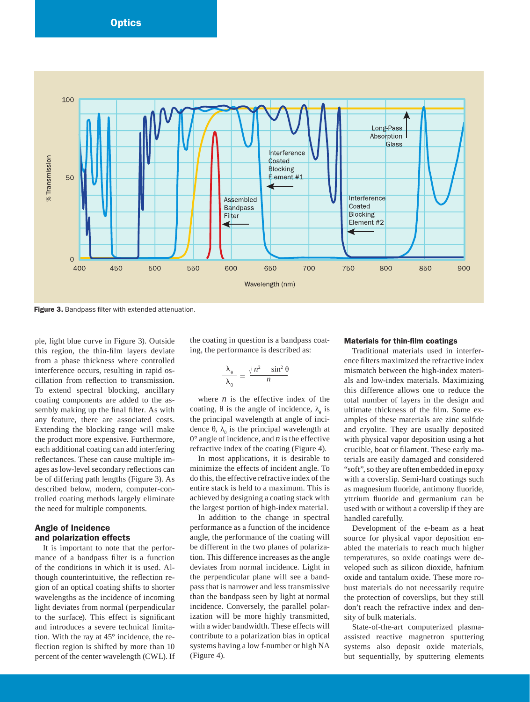

Figure 3. Bandpass filter with extended attenuation.

ple, light blue curve in Figure 3). Outside this region, the thin-film layers deviate from a phase thickness where controlled interference occurs, resulting in rapid oscillation from reflection to transmission. To extend spectral blocking, ancillary coating components are added to the assembly making up the final filter. As with any feature, there are associated costs. Extending the blocking range will make the product more expensive. Furthermore, each additional coating can add interfering reflectances. These can cause multiple images as low-level secondary reflections can be of differing path lengths (Figure 3). As described below, modern, computer-controlled coating methods largely eliminate the need for multiple components.

#### Angle of Incidence and polarization effects

It is important to note that the performance of a bandpass filter is a function of the conditions in which it is used. Although counterintuitive, the reflection region of an optical coating shifts to shorter wavelengths as the incidence of incoming light deviates from normal (perpendicular to the surface). This effect is significant and introduces a severe technical limitation. With the ray at 45° incidence, the reflection region is shifted by more than 10 percent of the center wavelength (CWL). If

the coating in question is a bandpass coating, the performance is described as:

$$
\frac{\lambda_{\theta}}{\lambda_0} = \frac{\sqrt{n^2 - \sin^2 \theta}}{n}
$$

where *n* is the effective index of the coating,  $\theta$  is the angle of incidence,  $\lambda_{\theta}$  is the principal wavelength at angle of incidence θ,  $\lambda_{0}$  is the principal wavelength at 0° angle of incidence, and *n* is the effective refractive index of the coating (Figure 4).

In most applications, it is desirable to minimize the effects of incident angle. To do this, the effective refractive index of the entire stack is held to a maximum. This is achieved by designing a coating stack with the largest portion of high-index material.

In addition to the change in spectral performance as a function of the incidence angle, the performance of the coating will be different in the two planes of polarization. This difference increases as the angle deviates from normal incidence. Light in the perpendicular plane will see a bandpass that is narrower and less transmissive than the bandpass seen by light at normal incidence. Conversely, the parallel polarization will be more highly transmitted, with a wider bandwidth. These effects will contribute to a polarization bias in optical systems having a low f-number or high NA (Figure 4).

#### Materials for thin-film coatings

Traditional materials used in interference filters maximized the refractive index mismatch between the high-index materials and low-index materials. Maximizing this difference allows one to reduce the total number of layers in the design and ultimate thickness of the film. Some examples of these materials are zinc sulfide and cryolite. They are usually deposited with physical vapor deposition using a hot crucible, boat or filament. These early materials are easily damaged and considered "soft", so they are often embedded in epoxy with a coverslip. Semi-hard coatings such as magnesium fluoride, antimony fluoride, yttrium fluoride and germanium can be used with or without a coverslip if they are handled carefully.

Development of the e-beam as a heat source for physical vapor deposition enabled the materials to reach much higher temperatures, so oxide coatings were developed such as silicon dioxide, hafnium oxide and tantalum oxide. These more robust materials do not necessarily require the protection of coverslips, but they still don't reach the refractive index and density of bulk materials.

State-of-the-art computerized plasmaassisted reactive magnetron sputtering systems also deposit oxide materials, but sequentially, by sputtering elements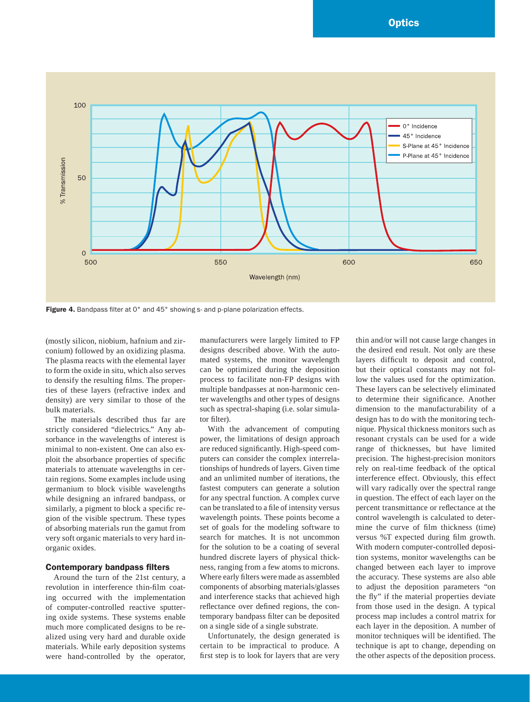**Optics** 



Figure 4. Bandpass filter at 0° and 45° showing s- and p-plane polarization effects.

(mostly silicon, niobium, hafnium and zirconium) followed by an oxidizing plasma. The plasma reacts with the elemental layer to form the oxide in situ, which also serves to densify the resulting films. The properties of these layers (refractive index and density) are very similar to those of the bulk materials.

The materials described thus far are strictly considered "dielectrics." Any absorbance in the wavelengths of interest is minimal to non-existent. One can also exploit the absorbance properties of specific materials to attenuate wavelengths in certain regions. Some examples include using germanium to block visible wavelengths while designing an infrared bandpass, or similarly, a pigment to block a specific region of the visible spectrum. These types of absorbing materials run the gamut from very soft organic materials to very hard inorganic oxides.

## Contemporary bandpass filters

Around the turn of the 21st century, a revolution in interference thin-film coating occurred with the implementation of computer-controlled reactive sputtering oxide systems. These systems enable much more complicated designs to be realized using very hard and durable oxide materials. While early deposition systems were hand-controlled by the operator,

manufacturers were largely limited to FP designs described above. With the automated systems, the monitor wavelength can be optimized during the deposition process to facilitate non-FP designs with multiple bandpasses at non-harmonic center wavelengths and other types of designs such as spectral-shaping (i.e. solar simulator filter).

With the advancement of computing power, the limitations of design approach are reduced significantly. High-speed computers can consider the complex interrelationships of hundreds of layers. Given time and an unlimited number of iterations, the fastest computers can generate a solution for any spectral function. A complex curve can be translated to a file of intensity versus wavelength points. These points become a set of goals for the modeling software to search for matches. It is not uncommon for the solution to be a coating of several hundred discrete layers of physical thickness, ranging from a few atoms to microns. Where early filters were made as assembled components of absorbing materials/glasses and interference stacks that achieved high reflectance over defined regions, the contemporary bandpass filter can be deposited on a single side of a single substrate.

Unfortunately, the design generated is certain to be impractical to produce. A first step is to look for layers that are very thin and/or will not cause large changes in the desired end result. Not only are these layers difficult to deposit and control, but their optical constants may not follow the values used for the optimization. These layers can be selectively eliminated to determine their significance. Another dimension to the manufacturability of a design has to do with the monitoring technique. Physical thickness monitors such as resonant crystals can be used for a wide range of thicknesses, but have limited precision. The highest-precision monitors rely on real-time feedback of the optical interference effect. Obviously, this effect will vary radically over the spectral range in question. The effect of each layer on the percent transmittance or reflectance at the control wavelength is calculated to determine the curve of film thickness (time) versus %T expected during film growth. With modern computer-controlled deposition systems, monitor wavelengths can be changed between each layer to improve the accuracy. These systems are also able to adjust the deposition parameters "on the fly" if the material properties deviate from those used in the design. A typical process map includes a control matrix for each layer in the deposition. A number of monitor techniques will be identified. The technique is apt to change, depending on the other aspects of the deposition process.